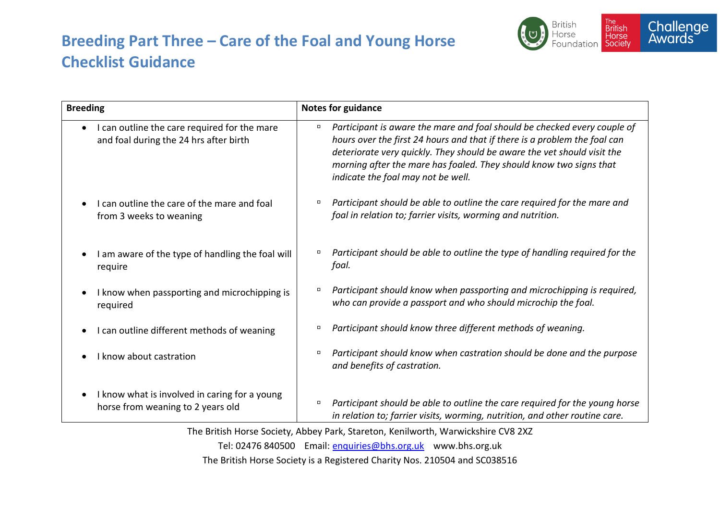## **Breeding Part Three – Care of the Foal and Young Horse Checklist Guidance**



| <b>Breeding</b>                                                                        | <b>Notes for guidance</b>                                                                                                                                                                                                                                                                                                                              |
|----------------------------------------------------------------------------------------|--------------------------------------------------------------------------------------------------------------------------------------------------------------------------------------------------------------------------------------------------------------------------------------------------------------------------------------------------------|
| I can outline the care required for the mare<br>and foal during the 24 hrs after birth | Participant is aware the mare and foal should be checked every couple of<br>$\Box$<br>hours over the first 24 hours and that if there is a problem the foal can<br>deteriorate very quickly. They should be aware the vet should visit the<br>morning after the mare has foaled. They should know two signs that<br>indicate the foal may not be well. |
| I can outline the care of the mare and foal<br>from 3 weeks to weaning                 | Participant should be able to outline the care required for the mare and<br>п<br>foal in relation to; farrier visits, worming and nutrition.                                                                                                                                                                                                           |
| I am aware of the type of handling the foal will<br>require                            | Participant should be able to outline the type of handling required for the<br>foal.                                                                                                                                                                                                                                                                   |
| I know when passporting and microchipping is<br>required                               | Participant should know when passporting and microchipping is required,<br>п<br>who can provide a passport and who should microchip the foal.                                                                                                                                                                                                          |
| I can outline different methods of weaning                                             | Participant should know three different methods of weaning.<br>$\Box$                                                                                                                                                                                                                                                                                  |
| I know about castration                                                                | Participant should know when castration should be done and the purpose<br>$\Box$<br>and benefits of castration.                                                                                                                                                                                                                                        |
| I know what is involved in caring for a young<br>horse from weaning to 2 years old     | Participant should be able to outline the care required for the young horse<br>$\Box$<br>in relation to; farrier visits, worming, nutrition, and other routine care.                                                                                                                                                                                   |

The British Horse Society, Abbey Park, Stareton, Kenilworth, Warwickshire CV8 2XZ Tel: 02476 840500 Email: [enquiries@bhs.org.uk](mailto:enquiries@bhs.org.uk) www.bhs.org.uk The British Horse Society is a Registered Charity Nos. 210504 and SC038516